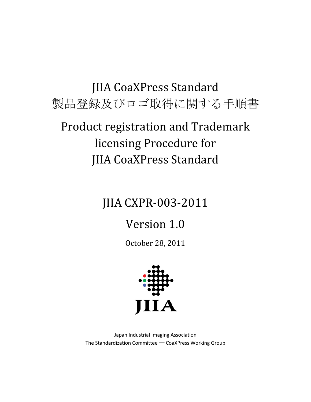# JIIA CoaXPress Standard 製品登録及びロゴ取得に関する手順書

# Product registration and Trademark licensing Procedure for JIIA CoaXPress Standard

## JIIA CXPR-003-2011

## Version 1.0

October 28, 2011



Japan Industrial Imaging Association The Standardization Committee ― CoaXPress Working Group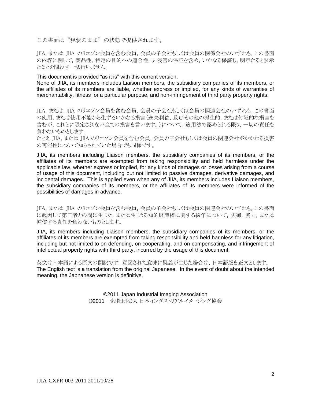この書面は"現状のまま"の状態で提供されます。

JIIA,または JIIA のリエゾン会員を含む会員,会員の子会社もしくは会員の関係会社のいずれも,この書面 の内容に関して,商品性,特定の目的への適合性,非侵害の保証を含め,いかなる保証も,明示たると黙示 たるとを問わず一切行いません。

This document is provided "as it is" with this current version.

None of JIIA, its members includes Liaison members, the subsidiary companies of its members, or the affiliates of its members are liable, whether express or implied, for any kinds of warranties of merchantability, fitness for a particular purpose, and non-infringement of third party property rights.

JIIA,または JIIA のリエゾン会員を含む会員,会員の子会社もしくは会員の関連会社のいずれも,この書面 の使用,または使用不能から生ずるいかなる損害(逸失利益,及びその他の派生的,または付随的な損害を 含むが,これらに限定されない全ての損害を言います。)について,適用法で認められる限り,一切の責任を 負わないものとします。

たとえ JIIA,または JIIA のリエゾン会員を含む会員,会員の子会社もしくは会員の関連会社がかかわる損害 の可能性について知らされていた場合でも同様です。

JIIA, its members including Liaison members, the subsidiary companies of its members, or the affiliates of its members are exempted from taking responsibility and held harmless under the applicable law, whether express or implied, for any kinds of damages or losses arising from a course of usage of this document, including but not limited to passive damages, derivative damages, and incidental damages. This is applied even when any of JIIA, its members includes Liaison members, the subsidiary companies of its members, or the affiliates of its members were informed of the possibilities of damages in advance.

JIIA,または JIIA のリエゾン会員を含む会員,会員の子会社もしくは会員の関連会社のいずれも,この書面 に起因して第三者との間に生じた,または生じうる知的財産権に関する紛争について,防御,協力,または 補償する責任を負わないものとします。

JIIA, its members including Liaison members, the subsidiary companies of its members, or the affiliates of its members are exempted from taking responsibility and held harmless for any litigation, including but not limited to on defending, on cooperating, and on compensating, and infringement of intellectual property rights with third party, incurred by the usage of this document.

英文は日本語による原文の翻訳です。意図された意味に疑義が生じた場合は,日本語版を正文とします。 The English text is a translation from the original Japanese. In the event of doubt about the intended meaning, the Japnanese version is definitive.

> ©2011 Japan Industrial Imaging Association ©2011 一般社団法人 日本インダストリアルイメージング協会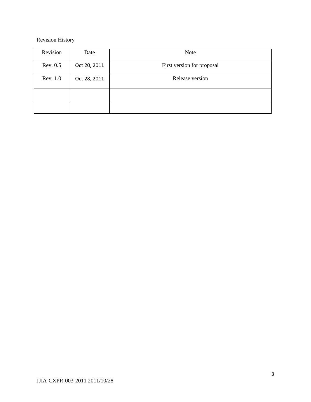#### Revision History

| Revision | Date         | <b>Note</b>                |
|----------|--------------|----------------------------|
| Rev. 0.5 | Oct 20, 2011 | First version for proposal |
| Rev. 1.0 | Oct 28, 2011 | Release version            |
|          |              |                            |
|          |              |                            |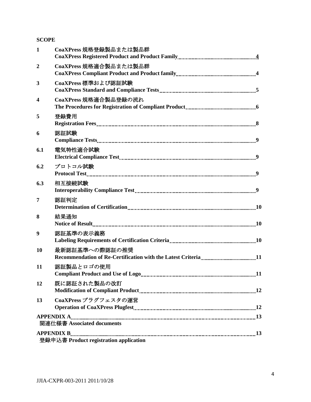#### **SCOPE**

| 1                | CoaXPress 規格登録製品または製品群                                                                                                             |
|------------------|------------------------------------------------------------------------------------------------------------------------------------|
| $\overline{2}$   | CoaXPress 規格適合製品または製品群                                                                                                             |
| 3                | CoaXPress 標準および認証試験                                                                                                                |
| $\boldsymbol{4}$ | CoaXPress 規格適合製品登録の流れ                                                                                                              |
| 5                | 登録費用                                                                                                                               |
| 6                | 認証試験                                                                                                                               |
| 6.1              | 電気特性適合試験                                                                                                                           |
| 6.2              | プロトコル試験<br>Protocol Test <sub>ummummummummummummummummummummummummum</sub> 9                                                       |
| 6.3              | 相互接続試験                                                                                                                             |
| 7                | 認証判定                                                                                                                               |
| 8                | 結果通知                                                                                                                               |
| $\boldsymbol{9}$ | 認証基準の表示義務                                                                                                                          |
| 10               | 最新認証基準への際認証の推奨                                                                                                                     |
| 11               | 認証製品とロゴの使用                                                                                                                         |
| 12               | 既に認証された製品の改訂                                                                                                                       |
| 13               | CoaXPress プラグフェスタの運営                                                                                                               |
|                  | 関連仕様書 Associated documents                                                                                                         |
|                  | APPENDIX B <sub>romanu</sub> manuscularum manusculum manusculum manusculum manusculum 13<br>登録申込書 Product registration application |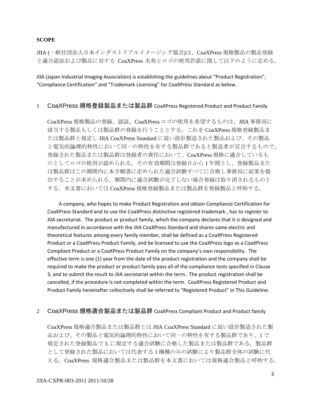#### **SCOPE**

JIIA (一般社団法人日本インダストリアルイメージング協会)は、CoaXPress 規格製品の製品登録 と適合認証および製品に対する CoaXPress 名称とロゴの使用許諾に関して以下のように定める。

JIIA (Japan Industrial Imaging Association) is establishing the guidelines about "Product Registration", "Compliance Certification" and "Trademark Licensing" for CoaXPress Standard as below.

#### 1 CoaXPress 規格登録製品または製品群 CoaXPress Registered Product and Product Family

CoaXPress 規格製品の登録、認証、CoaXPress ロゴの使用を希望するものは、JIIA 事務局に 該当する製品もしくは製品群の登録を行うこととする。これを CoaXPress 規格登録製品ま たは製品群と規定し JIIA CoaXPress Standard に従い設計製造された製品および、その製品 と電気的論理的特性において同一の特性を有する製品群であると製造者が宣言するもので、 登録された製品または製品群は登録者の責任において、CoaXPress 規格に適合しているも のとしてロゴの使用が認められる。その有効期間は登録日から 1 年間とし、登録製品また は製品群はこの期間内に本手順書に定められた適合試験すべてに合格し事務局に結果を提 出することが求められる。期間内に適合試験が完了しない場合登録は取り消されるものと する。本文書においては CoaXPress 規格登録製品または製品群を登録製品と呼称する。

 A company, who hopes to make Product Registration and obtain Compliance Certification for CoaXPress Standard and to use the CoaXPress distinctive registered trademark , has to register to JIIA secretariat. The product or product family, which the company declares that it is designed and manufactured in accordance with the JIIA CoaXPress Standard and shares same electric and theoretical features among every family member, shall be defined as a CoaXPress Registered Product or a CoaXPress Product Family, and be licensed to use the CoaXPress logo as a CoaXPress Compliant Product or a CoaXPress Product Family on the company's own responsibility. The effective term is one (1) year from the date of the product registration and the company shall be required to make the product or product family pass all of the compliance tests specified in Clause 3, and to submit the result to JIIA secretariat within the term. The product registration shall be cancelled, if the procedure is not completed within the term. CoaXPress Registered Product and Product Family hereinafter collectively shall be referred to "Registered Product" in This Guideline.

#### 2 CoaXPress 規格適合製品または製品群 CoaXPress Compliant Product and Product family

CoaXPress 規格適合製品または製品群とは JIIA CoaXPress Standard に従い設計製造された製 品および、その製品と電気的論理的特性において同一の特性を有する製品群であり、1 で 規定された登録製品で 3. に規定する適合試験に合格した製品または製品群である。製品群 として登録された製品においては代表する 1 機種のみの試験により製品群全体の試験に代 える。CoaXPress 規格適合製品または製品群を本文書においては規格適合製品と呼称する。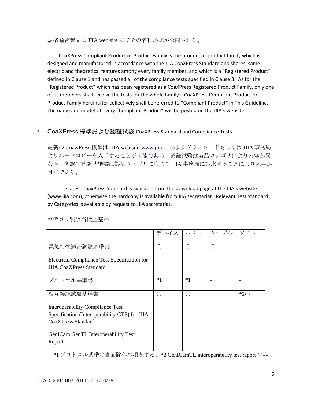規格適合製品は JIIA web site にてその名称形式が公開される。

 CoaXPress Compliant Product or Product Family is the product or product family which is designed and manufactured in accordance with the JIIA CoaXPress Standard and shares same electric and theoretical features among every family member, and which is a "Registered Product" defined in Clause 1 and has passed all of the compliance tests specified in Clause 3. As for the "Registered Product" which has been registered as a CoaXPress Registered Product Family, only one of its members shall receive the tests for the whole family. CoaXPress Compliant Product or Product Family hereinafter collectively shall be referred to "Compliant Product" in This Guideline. The name and model of every "Compliant Product" will be posted on the JIIA's website.

#### 3 CoaXPress 標準および認証試験 CoaXPress Standard and Compliance Tests

最新の CoaXPress 標準は JIIA web site(<u>www.jiia.com</u>)よりダウンロードもしくは JIIA 事務局 よりハードコピーを入手することが可能である。認証試験は製品カテゴリにより内容が異 なる。各認証試験基準書は製品カテゴリに応じて JIIA 事務局に請求することにより入手が 可能である。

 The latest CoaxPress Standard is available from the download page at the JIIA's website (www.jiia.com), otherwise the hardcopy is available from JIIA secretariat. Relevant Test Standard by Categories is available by request to JIIA secretariat.

|                                                                                                                       | デバイス | ホスト  | ケーブル | ソフト   |
|-----------------------------------------------------------------------------------------------------------------------|------|------|------|-------|
|                                                                                                                       |      |      |      |       |
| 電気特性適合試験基準書                                                                                                           | Γ.   | (    |      |       |
| <b>Electrical Compliance Test Specification for</b>                                                                   |      |      |      |       |
| <b>JIIA CoaXPress Standard</b>                                                                                        |      |      |      |       |
|                                                                                                                       |      |      |      |       |
| プロトコル基準書                                                                                                              | $*1$ | $*1$ |      |       |
|                                                                                                                       |      |      |      |       |
| 相互接続試験基準書                                                                                                             | (    | (    |      | $*2C$ |
| <b>Interoperability Compliance Test</b><br>Specification (Interoperability CTS) for JIIA<br><b>CoaXPress Standard</b> |      |      |      |       |
| GenICam GenTL Interoperability Test                                                                                   |      |      |      |       |
| Report                                                                                                                |      |      |      |       |

カテゴリ別該当検査基準

\*1プロトコル基準は当面除外事項とする。\*2 GenICamTL interoperability test report のみ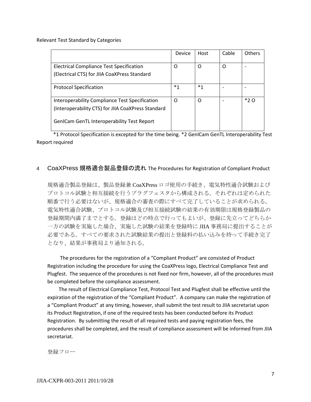Relevant Test Standard by Categories

|                                                    | Device | Host | Cable | <b>Others</b> |
|----------------------------------------------------|--------|------|-------|---------------|
|                                                    |        |      |       |               |
| <b>Electrical Compliance Test Specification</b>    | O      | Ω    | O     |               |
| (Electrical CTS) for JIIA CoaXPress Standard       |        |      |       |               |
|                                                    |        |      |       |               |
| <b>Protocol Specification</b>                      | *1     | *1   |       |               |
|                                                    |        |      |       |               |
| Interoperability Compliance Test Specification     | Ω      | O    |       | $*2O$         |
| (Interoperability CTS) for JIIA CoaXPress Standard |        |      |       |               |
|                                                    |        |      |       |               |
| <b>GenICam GenTL Interoperability Test Report</b>  |        |      |       |               |
|                                                    |        |      |       |               |

\*1 Protocol Specification is excepted for the time being. \*2 GenICam GenTL Interoperability Test Report required

#### 4 CoaXPress 規格適合製品登録の流れ The Procedures for Registration of Compliant Product

規格適合製品登録は、製品登録兼 CoaXPress ロゴ使用の手続き、電気特性適合試験および プロトコル試験と相互接続を行うプラグフェスタから構成される。それぞれは定められた 順番で行う必要はないが、規格適合の審査の際にすべて完了していることが求められる。 電気特性適合試験、プロトコル試験及び相互接続試験の結果の有効期限は規格登録製品の 登録期間内満了までとする。登録はどの時点で行ってもよいが、登録に先立ってどちらか 一方の試験を実施した場合、実施した試験の結果を登録時に JIIA 事務局に提出することが 必要である。すべての要求された試験結果の提出と登録料の払い込みを持って手続き完了 となり、結果が事務局より通知される。

 The procedures for the registration of a "Compliant Product" are consisted of Product Registration including the procedure for using the CoaXPress logo, Electrical Compliance Test and Plugfest. The sequence of the procedures is not fixed nor firm, however, all of the procedures must be completed before the compliance assessment.

 The result of Electrical Compliance Test, Protocol Test and Plugfest shall be effective until the expiration of the registration of the "Compliant Product". A company can make the registration of a "Compliant Product" at any timing, however, shall submit the test result to JIIA secretariat upon its Product Registration, if one of the required tests has been conducted before its Product Registration. By submitting the result of all required tests and paying registration fees, the procedures shall be completed, and the result of compliance assessment will be informed from JIIA secretariat.

登録フロー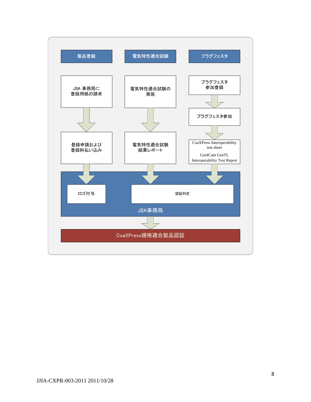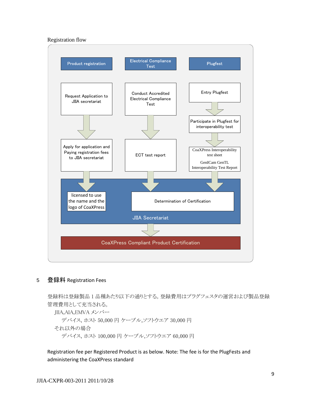#### Registration flow



#### 5 登録料 Registration Fees

登録料は登録製品 1 品種あたり以下の通りとする。登録費用はプラグフェスタの運営および製品登録 管理費用として充当される。

 JIIA,AIA,EMVA メンバー デバイス, ホスト 50,000 円 ケーブル,ソフトウエア 30,000 円 それ以外の場合 デバイス, ホスト 100,000 円 ケーブル,ソフトウエア 60,000 円

Registration fee per Registered Product is as below. Note: The fee is for the PlugFests and administering the CoaXPress standard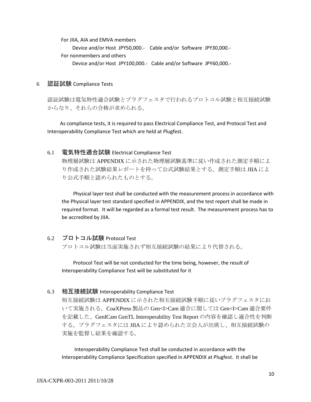For JIIA, AIA and EMVA members

Device and/or Host JPY50,000.- Cable and/or Software JPY30,000.-

For nonmembers and others

Device and/or Host JPY100,000.- Cable and/or Software JPY60,000.-

#### 6 認証試験 Compliance Tests

認証試験は電気特性適合試験とプラグフェスタで行われるプロトコル試験と相互接続試験 からなり、それらの合格が求められる。

 As compliance tests, it is required to pass Electrical Compliance Test, and Protocol Test and Interoperability Compliance Test which are held at Plugfest.

#### 6.1 電気特性適合試験 Electrical Compliance Test

物理層試験は APPENDIX に示された物理層試験基準に従い作成された測定手順によ り作成された試験結果レポートを持って公式試験結果とする。測定手順は JIIA によ り公式手順と認められたものとする。

 Physical layer test shall be conducted with the measurement process in accordance with the Physical layer test standard specified in APPENDIX, and the test report shall be made in required format. It will be regarded as a formal test result. The measurement process has to be accredited by JIIA.

#### 6.2 プロトコル試験 Protocol Test

プロトコル試験は当面実施されず相互接続試験の結果により代替される。

 Protocol Test will be not conducted for the time being, however, the result of Interoperability Compliance Test will be substituted for it

#### 6.3 相互接続試験 Interoperability Compliance Test

相互接続試験は APPENDIX に示された相互接続試験手順に従いプラグフェスタにお いて実施される。CoaXPress 製品の Gen<I>Cam 適合に関しては Gen<I>Cam 適合要件 を記載した、GenICam GenTL Interoperability Test Report の内容を確認し適合性を判断 する。プラグフェスタには JIIA により認められた立会人が出席し、相互接続試験の 実施を監督し結果を確認する。

 Interoperability Compliance Test shall be conducted in accordance with the Interoperability Compliance Specification specified in APPENDIX at Plugfest. It shall be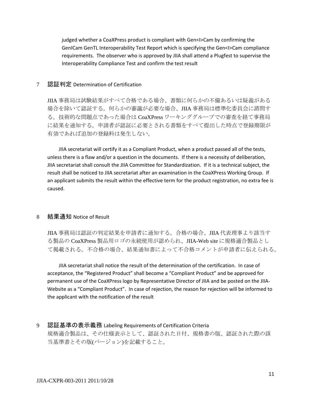judged whether a CoaXPress product is compliant with Gen<I>Cam by confirming the GenICam GenTL Interoperability Test Report which is specifying the Gen<I>Cam compliance requirements. The observer who is approved by JIIA shall attend a Plugfest to supervise the Interoperability Compliance Test and confirm the test result

#### 7 認証判定 Determination of Certification

JIIA 事務局は試験結果がすべて合格である場合、書類に何らかの不備あるいは疑義がある 場合を除いて認証する。何らかの審議が必要な場合、JIIA 事務局は標準化委員会に諮問す る。技術的な問題点であった場合は CoaXPress ワーキンググループでの審査を経て事務局 に結果を通知する。申請者が認証に必要とされる書類をすべて提出した時点で登録期限が 有効であれば追加の登録料は発生しない。

 JIIA secretariat will certify it as a Compliant Product, when a product passed all of the tests, unless there is a flaw and/or a question in the documents. If there is a necessity of deliberation, JIIA secretariat shall consult the JIIA Committee for Standardization. If it is a technical subject, the result shall be noticed to JIIA secretariat after an examination in the CoaXPress Working Group. If an applicant submits the result within the effective term for the product registration, no extra fee is caused.

#### 8 結果通知 Notice of Result

JIIA 事務局は認証の判定結果を申請者に通知する。合格の場合、JIIA 代表理事より該当す る製品の CoaXPress 製品用ロゴの永続使用が認められ、JIIA-Web site に規格適合製品とし て掲載される。不合格の場合、結果通知書によって不合格コメントが申請者に伝えられる。

 JIIA secretariat shall notice the result of the determination of the certification. In case of acceptance, the "Registered Product" shall become a "Compliant Product" and be approved for permanent use of the CoaXPress logo by Representative Director of JIIA and be posted on the JIIA-Website as a "Compliant Product". In case of rejection, the reason for rejection will be informed to the applicant with the notification of the result

9 認証基準の表示義務 Labeling Requirements of Certification Criteria 規格適合製品は、その仕様表示として、認証された日付、規格書の版、認証された際の該 当基準書とその版(バージョン)を記載すること。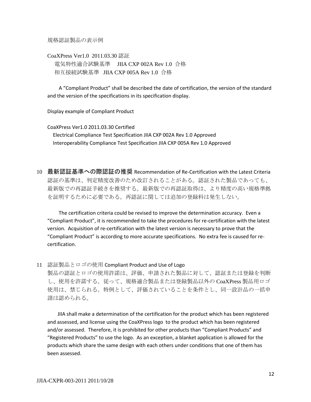規格認証製品の表示例

CoaXPress Ver1.0 2011.03.30 認証 電気特性適合試験基準 JIIA CXP 002A Rev 1.0 合格 相互接続試験基準 JIIA CXP 005A Rev 1.0 合格

 A "Compliant Product" shall be described the date of certification, the version of the standard and the version of the specifications in its specification display.

Display example of Compliant Product

CoaXPress Ver1.0 2011.03.30 Certified Electrical Compliance Test Specification JIIA CXP 002A Rev 1.0 Approved Interoperability Compliance Test Specification JIIA CXP 005A Rev 1.0 Approved

10 最新認証基準への際認証の推奨 Recommendation of Re-Certification with the Latest Criteria 認証の基準は、判定精度改善のため改訂されることがある。認証された製品であっても、 最新版での再認証手続きを推奨する。最新版での再認証取得は、より精度の高い規格準拠 を証明するために必要である。再認証に関しては追加の登録料は発生しない。

 The certification criteria could be revised to improve the determination accuracy. Even a "Compliant Product", it is recommended to take the procedures for re-certification with the latest version. Acquisition of re-certification with the latest version is necessary to prove that the "Compliant Product" is according to more accurate specifications. No extra fee is caused for recertification.

11 認証製品とロゴの使用 Compliant Product and Use of Logo 製品の認証とロゴの使用許諾は、評価、申請された製品に対して、認証または登録を判断 し、使用を許諾する。従って、規格適合製品または登録製品以外の CoaXPress 製品用ロゴ 使用は、禁じられる。特例として、評価されていることを条件とし、同一設計品の一括申 請は認められる。

 JIIA shall make a determination of the certification for the product which has been registered and assessed, and license using the CoaXPress logo to the product which has been registered and/or assessed. Therefore, it is prohibited for other products than "Compliant Products" and "Registered Products" to use the logo. As an exception, a blanket application is allowed for the products which share the same design with each others under conditions that one of them has been assessed.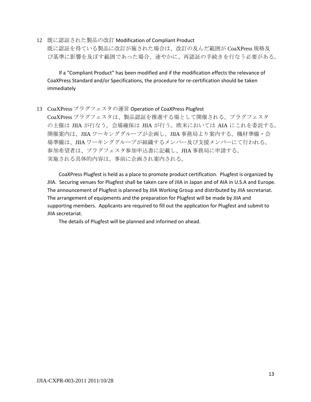12 既に認証された製品の改訂 Modification of Compliant Product 既に認証を得ている製品に改訂が施された場合は、改訂の及んだ範囲が CoaXPress 規格及 び基準に影響を及ぼす範囲であった場合、速やかに、再認証の手続きを行なう必要がある。

 If a "Compliant Product" has been modified and if the modification effects the relevance of CoaXPress Standard and/or Specifications, the procedure for re-certification should be taken immediately

#### 13 CoaXPress プラグフェスタの運営 Operation of CoaXPress Plugfest

CoaXPress プラグフェスタは、製品認証を推進する場として開催される。プラグフェスタ の主催は JIIA が行なう。会場確保は JIIA が行う。欧米においては AIA にこれを委託する。 開催案内は、JIIA ワーキンググループが企画し、JIIA 事務局より案内する。機材準備・会 場準備は、JIIA ワーキンググループが組織するメンバー及び支援メンバーにて行われる。 参加希望者は、プラグフェスタ参加申込書に記載し、JIIA 事務局に申請する。 実施される具体的内容は、事前に企画され案内される。

 CoaXPress Plugfest is held as a place to promote product certification. Plugfest is organized by JIIA. Securing venues for Plugfest shall be taken care of JIIA in Japan and of AIA in U.S.A and Europe. The announcement of Plugfest is planned by JIIA Working Group and distributed by JIIA secretariat. The arrangement of equipments and the preparation for Plugfest will be made by JIIA and supporting members. Applicants are required to fill out the application for Plugfest and submit to JIIA secretariat.

The details of Plugfest will be planned and informed on ahead.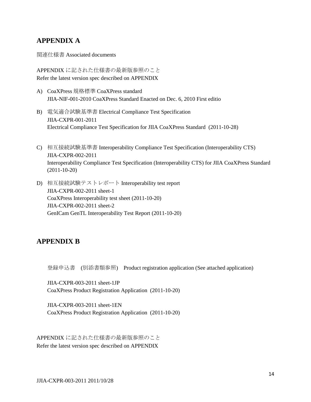### **APPENDIX A**

関連仕様書 Associated documents

APPENDIX に記された仕様書の最新版参照のこと Refer the latest version spec described on APPENDIX

- A) CoaXPress 規格標準 CoaXPress standard JIIA-NIF-001-2010 CoaXPress Standard Enacted on Dec. 6, 2010 First editio
- B) 電気適合試験基準書 Electrical Compliance Test Specification JIIA-CXPR-001-2011 Electrical Compliance Test Specification for JIIA CoaXPress Standard (2011-10-28)
- C) 相互接続試験基準書 Interoperability Compliance Test Specification (Interoperability CTS) JIIA-CXPR-002-2011 Interoperability Compliance Test Specification (Interoperability CTS) for JIIA CoaXPress Standard (2011-10-20)
- D) 相互接続試験テストレポート Interoperability test report JIIA-CXPR-002-2011 sheet-1 CoaXPress Interoperability test sheet (2011-10-20) JIIA-CXPR-002-2011 sheet-2 GenICam GenTL Interoperability Test Report (2011-10-20)

### **APPENDIX B**

登録申込書 (別添書類参照) Product registration application (See attached application)

JIIA-CXPR-003-2011 sheet-1JP CoaXPress Product Registration Application (2011-10-20)

JIIA-CXPR-003-2011 sheet-1EN CoaXPress Product Registration Application (2011-10-20)

APPENDIX に記された仕様書の最新版参照のこと Refer the latest version spec described on APPENDIX